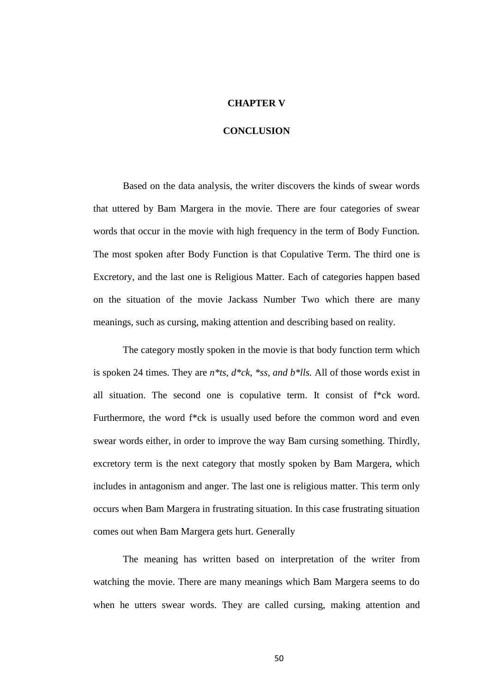## **CHAPTER V**

## **CONCLUSION**

Based on the data analysis, the writer discovers the kinds of swear words that uttered by Bam Margera in the movie. There are four categories of swear words that occur in the movie with high frequency in the term of Body Function. The most spoken after Body Function is that Copulative Term. The third one is Excretory, and the last one is Religious Matter. Each of categories happen based on the situation of the movie Jackass Number Two which there are many meanings, such as cursing, making attention and describing based on reality.

The category mostly spoken in the movie is that body function term which is spoken 24 times. They are *n\*ts, d\*ck, \*ss, and b\*lls.* All of those words exist in all situation. The second one is copulative term. It consist of f\*ck word. Furthermore, the word f\*ck is usually used before the common word and even swear words either, in order to improve the way Bam cursing something. Thirdly, excretory term is the next category that mostly spoken by Bam Margera, which includes in antagonism and anger. The last one is religious matter. This term only occurs when Bam Margera in frustrating situation. In this case frustrating situation comes out when Bam Margera gets hurt. Generally

The meaning has written based on interpretation of the writer from watching the movie. There are many meanings which Bam Margera seems to do when he utters swear words. They are called cursing, making attention and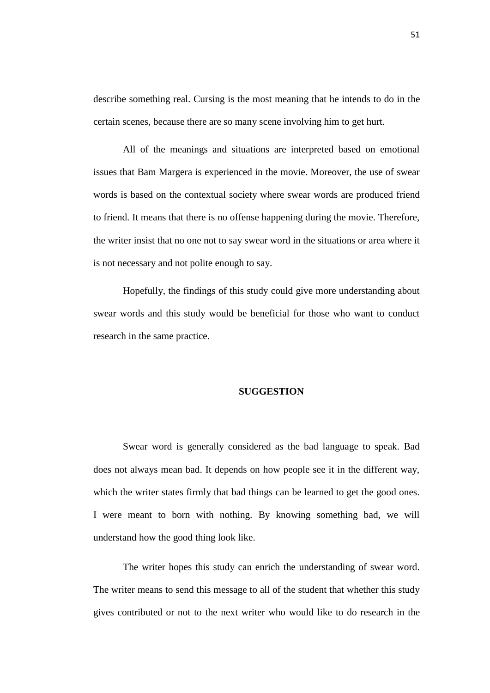describe something real. Cursing is the most meaning that he intends to do in the certain scenes, because there are so many scene involving him to get hurt.

All of the meanings and situations are interpreted based on emotional issues that Bam Margera is experienced in the movie. Moreover, the use of swear words is based on the contextual society where swear words are produced friend to friend. It means that there is no offense happening during the movie. Therefore, the writer insist that no one not to say swear word in the situations or area where it is not necessary and not polite enough to say.

Hopefully, the findings of this study could give more understanding about swear words and this study would be beneficial for those who want to conduct research in the same practice.

## **SUGGESTION**

Swear word is generally considered as the bad language to speak. Bad does not always mean bad. It depends on how people see it in the different way, which the writer states firmly that bad things can be learned to get the good ones. I were meant to born with nothing. By knowing something bad, we will understand how the good thing look like.

The writer hopes this study can enrich the understanding of swear word. The writer means to send this message to all of the student that whether this study gives contributed or not to the next writer who would like to do research in the